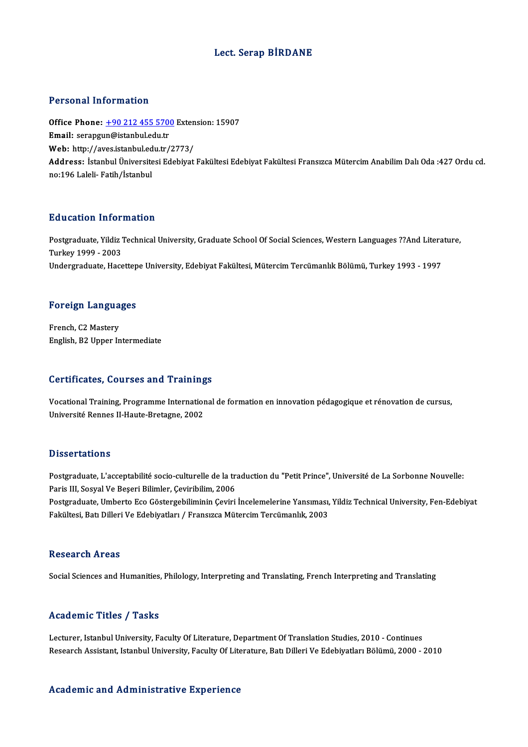### Lect. Serap BİRDANE

#### Personal Information

Personal Information<br>Office Phone: <u>+90 212 455 5700</u> Extension: 15907<br>Email: serengun@istanbul.edu.tr Procession Information<br>Office Phone: <u>+90 212 455 570</u><br>Email: serapgu[n@istanbul.edu.tr](tel:+90 212 455 5700) Office Phone: <u>+90 212 455 5700</u> Exten<br>Email: serapgun@istanbul.edu.tr<br>Web: http://aves.istanbul.edu.tr/2773/<br>Address. Istanbul Üniversitesi Edebiyat Email: serapgun@istanbul.edu.tr<br>Web: http://aves.istanbul.edu.tr/2773/<br>Address: İstanbul Üniversitesi Edebiyat Fakültesi Edebiyat Fakültesi Fransızca Mütercim Anabilim Dalı Oda :427 Ordu cd.<br>no:196 Laleli- Fatih/İstanbul Web: http://aves.istanbul.edu.tr/2773/

#### Education Information

**Education Information**<br>Postgraduate, Yildiz Technical University, Graduate School Of Social Sciences, Western Languages ??And Literature,<br>Turkey 1999 - 2003 Put de la carlon 111101<br>Postgraduate, Yildiz<br>Turkey 1999 - 2003<br>Undergraduate, Hace Postgraduate, Yildiz Technical University, Graduate School Of Social Sciences, Western Languages ??And Litera<br>Turkey 1999 - 2003<br>Undergraduate, Hacettepe University, Edebiyat Fakültesi, Mütercim Tercümanlık Bölümü, Turkey

# <sub>ondergraduate, nacettep</sub><br>Foreign Languages

**Foreign Langua<br>French, C2 Mastery<br>English, P3 Unner In** French, C2 Mastery<br>English, B2 Upper Intermediate

#### Certificates, Courses and Trainings

Certificates, Courses and Trainings<br>Vocational Training, Programme International de formation en innovation pédagogique et rénovation de cursus,<br>Université Rennes II Haute Pretagne, 2002 Université Rennes II-Haute-Bretagne, 2002<br>Université Rennes II-Haute-Bretagne, 2002 Université Rennes II-Haute-Bretagne, 2002<br>Dissertations

Dissertations<br>Postgraduate, L'acceptabilité socio-culturelle de la traduction du "Petit Prince", Université de La Sorbonne Nouvelle:<br>Paris III, Sosval Ve Peseri Bilimler, Caviribilim, 2006 Passer derens<br>Postgraduate, L'acceptabilité socio-culturelle de la tra<br>Paris III, Sosyal Ve Beşeri Bilimler, Çeviribilim, 2006<br>Postgraduate, Umberte Ese Göstergebiliminin Ceviri Postgraduate, L'acceptabilité socio-culturelle de la traduction du "Petit Prince", Université de La Sorbonne Nouvelle:<br>Paris III, Sosyal Ve Beșeri Bilimler, Çeviribilim, 2006<br>Postgraduate, Umberto Eco Göstergebiliminin Çev Paris III, Sosyal Ve Beşeri Bilimler, Çeviribilim, 2006<br>Postgraduate, Umberto Eco Göstergebiliminin Çeviri İncelemelerine Yansıması,<br>Fakültesi, Batı Dilleri Ve Edebiyatları / Fransızca Mütercim Tercümanlık, 2003 Fakültesi, Batı Dilleri Ve Edebiyatları / Fransızca Mütercim Tercümanlık, 2003<br>Research Areas

Social Sciences and Humanities, Philology, Interpreting and Translating, French Interpreting and Translating

#### Academic Titles / Tasks

Lecturer, Istanbul University, Faculty Of Literature, Department Of Translation Studies, 2010 - Continues Research Assistant, Istanbul University, Faculty Of Literature, Batı Dilleri Ve Edebiyatları Bölümü, 2000 - 2010

#### Academic and Administrative Experience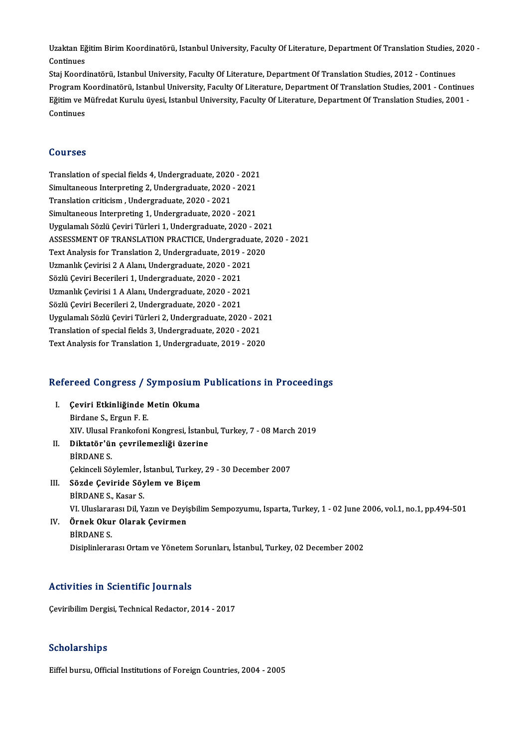Uzaktan Eğitim Birim Koordinatörü, Istanbul University, Faculty Of Literature, Department Of Translation Studies, 2020 -<br>Centinues Uzaktan Eğ<br>Continues<br>Stai Koord Uzaktan Eğitim Birim Koordinatörü, Istanbul University, Faculty Of Literature, Department Of Translation Studies, 2<br>Continues<br>Staj Koordinatörü, Istanbul University, Faculty Of Literature, Department Of Translation Studies

Continues<br>Staj Koordinatörü, Istanbul University, Faculty Of Literature, Department Of Translation Studies, 2012 - Continues<br>Program Koordinatörü, Istanbul University, Faculty Of Literature, Department Of Translation Studi Staj Koordinatörü, Istanbul University, Faculty Of Literature, Department Of Translation Studies, 2012 - Continues<br>Program Koordinatörü, Istanbul University, Faculty Of Literature, Department Of Translation Studies, 2001 -Program K<br>Eğitim ve M<br>Continues Continues<br>Courses

Translation of special fields 4, Undergraduate, 2020 - 2021 Sources<br>Translation of special fields 4, Undergraduate, 2020 - 2021<br>Simultaneous Interpreting 2, Undergraduate, 2020 - 2021<br>Translation suitsism, Undergraduate, 2020 - 2021 Translation of special fields 4, Undergraduate, 2020<br>Simultaneous Interpreting 2, Undergraduate, 2020<br>Translation criticism , Undergraduate, 2020 - 2021<br>Simultaneous Interpreting 1, Undergraduate, 2020 Simultaneous Interpreting 2, Undergraduate, 2020 - 2021<br>Translation criticism , Undergraduate, 2020 - 2021<br>Simultaneous Interpreting 1, Undergraduate, 2020 - 2021<br>Urgulamel: Sözlü Covini Türleri 1, Undergraduate, 2020 - 2 Translation criticism , Undergraduate, 2020 - 2021<br>Simultaneous Interpreting 1, Undergraduate, 2020 - 2021<br>Uygulamalı Sözlü Çeviri Türleri 1, Undergraduate, 2020 - 2021<br>ASSESSMENT OF TRANSLATION PRACTICE Undergraduate, 20: Simultaneous Interpreting 1, Undergraduate, 2020 - 2021<br>Uygulamalı Sözlü Çeviri Türleri 1, Undergraduate, 2020 - 2021<br>ASSESSMENT OF TRANSLATION PRACTICE, Undergraduate, 2020 - 2021<br>Text Analysis for Translation 2, Undergra Uygulamalı Sözlü Çeviri Türleri 1, Undergraduate, 2020 - 202<br>ASSESSMENT OF TRANSLATION PRACTICE, Undergraduate, 2<br>Text Analysis for Translation 2, Undergraduate, 2019 - 2020<br>Uzmanlık Gevinisi 2.A Alanı Undergraduate, 2020, ASSESSMENT OF TRANSLATION PRACTICE, Undergradua<br>Text Analysis for Translation 2, Undergraduate, 2019 - 20<br>Uzmanlık Çevirisi 2 A Alanı, Undergraduate, 2020 - 2021<br>Sërlü Ceviri Beserileri 1, Undergraduate, 2020 - 2021 Text Analysis for Translation 2, Undergraduate, 2019<br>Uzmanlık Çevirisi 2 A Alanı, Undergraduate, 2020 - 202<br>Sözlü Çeviri Becerileri 1, Undergraduate, 2020 - 2021<br>Uzmanlık Gevirisi 1 A Alanı, Undergraduate, 2020 - 202 Uzmanlık Çevirisi 2 A Alanı, Undergraduate, 2020 - 2021<br>Sözlü Çeviri Becerileri 1, Undergraduate, 2020 - 2021<br>Uzmanlık Çevirisi 1 A Alanı, Undergraduate, 2020 - 2021<br>Sözlü Ceviri Becerileri 2, Undergraduate, 2020 - 2021 Sözlü Çeviri Becerileri 1, Undergraduate, 2020 - 2021<br>Uzmanlık Çevirisi 1 A Alanı, Undergraduate, 2020 - 2021<br>Sözlü Çeviri Becerileri 2, Undergraduate, 2020 - 2021 Uzmanlık Çevirisi 1 A Alanı, Undergraduate, 2020 - 2021<br>Sözlü Çeviri Becerileri 2, Undergraduate, 2020 - 2021<br>Uygulamalı Sözlü Çeviri Türleri 2, Undergraduate, 2020 - 2021<br>Translation of sposial fields 3, Undergraduate, 20 Sözlü Çeviri Becerileri 2, Undergraduate, 2020 - 2021<br>Uygulamalı Sözlü Çeviri Türleri 2, Undergraduate, 2020 - 20<br>Translation of special fields 3, Undergraduate, 2020 - 2021<br>Text Analysis for Translation 1, Undergraduate, Translation of special fields 3, Undergraduate, 2020 - 2021<br>Text Analysis for Translation 1, Undergraduate, 2019 - 2020

# 1ext Analysis for Translation 1, Undergraduate, 2019 - 2020<br>Refereed Congress / Symposium Publications in Proceedings

- efereed Congress / Symposium<br>I. Çeviri Etkinliğinde Metin Okuma<br>Rindana S. Fraun E. E. I. Çeviri Etkinliğinde Metin Okuma<br>Birdane S., Ergun F. E. Çeviri Etkinliğinde Metin Okuma<br>Birdane S., Ergun F. E.<br>XIV. Ulusal Frankofoni Kongresi, İstanbul, Turkey, 7 - 08 March 2019<br>Diktatör'ün sevrilemezliği üzerine
- II. Diktatör'ün çevrilemezliği üzerine<br>BİRDANE S. XIV. Ulusal F<br><mark>Diktatör'ül</mark><br>BİRDANE S.<br>Cekinseli Sö Diktatör'ün çevrilemezliği üzerine<br>BİRDANE S.<br>Çekinceli Söylemler, İstanbul, Turkey, 29 - 30 December 2007<br>Sörde Cevinide Söylem ve Bisem BİRDANE S.<br>Çekinceli Söylemler, İstanbul, Turkey,<br>III. Sözde Çeviride Söylem ve Biçem<br>PİPDANE S. Kasar S.
- Çekinceli Söylemler, İ<br><mark>Sözde Çeviride Söy</mark><br>BİRDANE S., Kasar S.<br>VI Uluslararası Dil Y. Sözde Çeviride Söylem ve Biçem<br>BİRDANE S., Kasar S.<br>VI. Uluslararası Dil, Yazın ve Deyişbilim Sempozyumu, Isparta, Turkey, 1 - 02 June 2006, vol.1, no.1, pp.494-501<br>Örnek Okur Olarek Cevirmen BİRDANE S., Kasar S.<br>VI. Uluslararası Dil, Yazın ve Dey!<br>IV. Örnek Okur Olarak Çevirmen<br>BİRDANE S.

## VI. Uluslarar<br><mark>Örnek Oku</mark><br>BİRDANE S.<br>Disipliplarar Disiplinlerarası Ortam ve Yönetem Sorunları, İstanbul, Turkey, 02 December 2002

### Activities in Scientific Journals

Çeviribilim Dergisi, Technical Redactor, 2014 - 2017

### Scholarships

Eiffel bursu, Official Institutions of Foreign Countries, 2004 - 2005